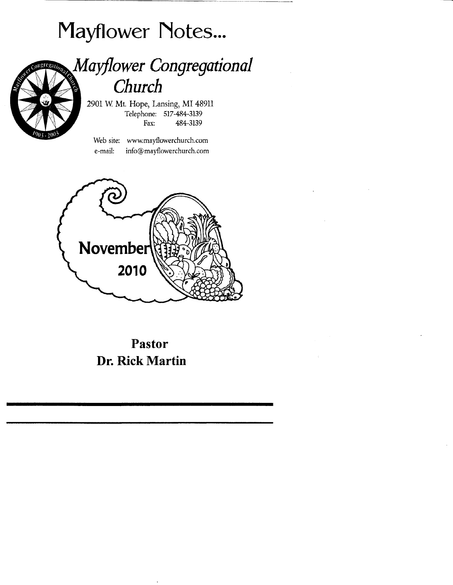# Mayflower Notes...



## Mayflower Congregational Church

2901 W. Mt. Hope, Lansing, MI 48911 Telephone: 517-484-3139 Fax; 484-3139

Web site: www.mayflowerchurch.com e-mail: info@mayflowerchurch.com



## Pastor Dr. Rick Martin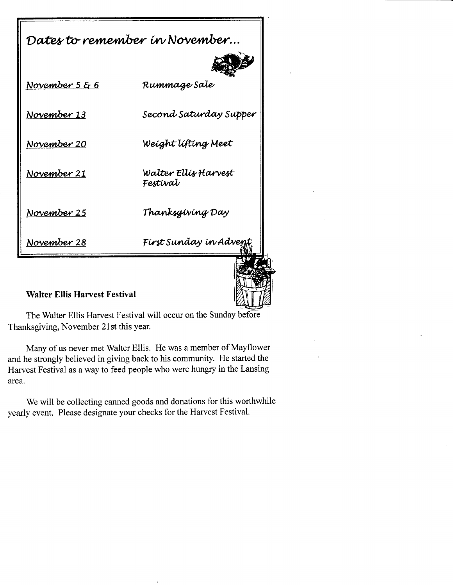|                | Dates to remember in November    |
|----------------|----------------------------------|
| November 5 & 6 | Rummage Sale                     |
| November 13    | Second Saturday Supper           |
| November 20    | Weight lifting Meet              |
| November 21    | Walter Ellis Harvest<br>Festival |
| November 25    | Thanksgíving Day                 |
| November 28    | First Sunday in Adve <u>nt</u>   |
|                |                                  |

### **Walter Ellis Harvest Festival**

The Walter Ellis Harvest Festival will occur on the Sunday before Thanksgiving, November 21st this year.

Many of us never met Walter Ellis. He was a member of Mayflower and he strongly believed in giving back to his community. He started the Harvest Festival as a way to feed people who were hungry in the Lansing area.

We will be collecting canned goods and donations for this worthwhile yearly event. Please designate your checks for the Harvest Festival.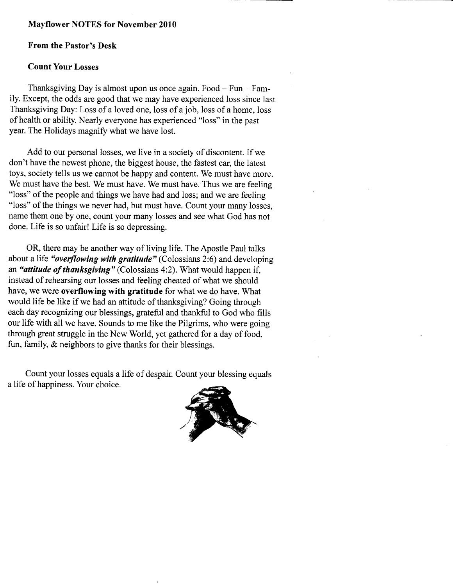#### Mayflower NOTES for November 2010

#### From the Pastor's Desk

#### Count Your Losses

Thanksgiving Day is almost upon us once again. Food  $-$  Fun  $-$  Family. Except, the odds are good that we may have experienced loss since last Thanksgiving Day: Loss of a loved one, loss of a job, loss of a home, loss of health or ability. Nearly everyone has experienced "loss" in the past year. The Holidays magnify what we have lost.

Add to our personal losses, we live in a society of discontent. If we don't have the newest phone, the biggest house, the fastest car, the latest toys, society tells us we cannot be happy and content. We must have more. We must have the best. We must have. We must have. Thus we are feeling "loss" of the people and things we have had and loss; and we are feeling "loss" of the things we never had, but must have. Count your many losses, name them one by one, count your many losses and see what God has not done. Life is so unfair! Life is so depressing.

OR, there may be another way of living life. The Apostle Paul talks about a life "overflowing with gratitude" (Colossians 2:6) and developing an "attitude of thanksgiving" (Colossians 4:2). What would happen if, instead of rehearsing our losses and feeling cheated of what we should have, we were **overflowing with gratitude** for what we do have. What would life be like if we had an attitude of thanksgiving? Going through each day recognizing our blessings, grateful and thankful to God who fills our life with all we have. Sounds to me like the Pilgrims, who were going through great struggle in the New World, yet gathered for a day of food, fun, family, & neighbors to give thanks for their blessings.

Count your losses equals a life of despair. Count your blessing equalsa life of happiness. Your choice.

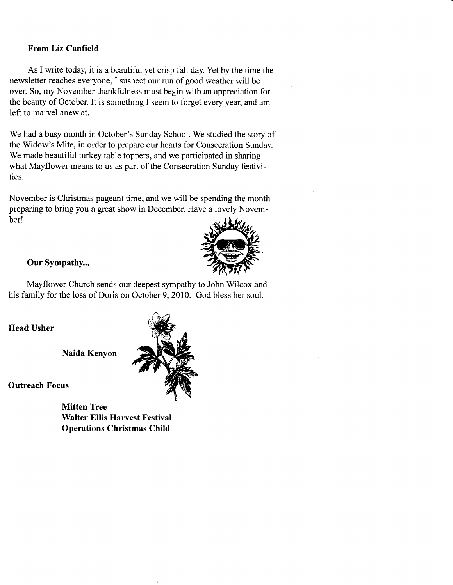## From Liz Canfield

As I write today, it is a beautiful yet crisp fall day. Yet by the time the newsletter reaches everyone, I suspect our run of good weather will be over. So, my November thankfulness must begin with an appreciation for the beauty of October. It is something I seem to forget every year, and am left to marvel anew at.

We had a busy month in October's Sunday School. We studied the story of the Widow's Mite, in order to prepare our hearts for Consecration Sunday. We made beautiful turkey table toppers, and we participated in sharing what Mayflower means to us as part of the Consecration Sunday festivities.

November is Christmas pageant time, and we will be spending the month preparing to bring you a great show in December. Have a lovely November!

## Our Sympathy...



Mayflower Church sends our deepest sympathy to John Wilcox and his family for the loss of Doris on October 9,2010. God bless her soul.

Head Usher

Naida Kenyon





Mitten Tree Walter Ellis Harvest Festival Operations Christmas Child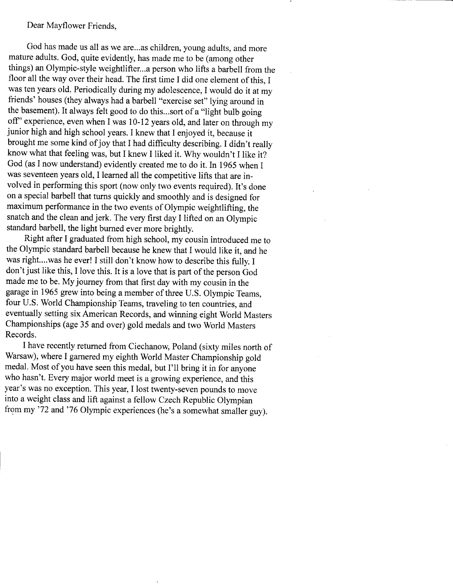#### Dear Mayflower Friends,

God has made us all as we are...as children, young adults, and more mature adults. God, quite evidently, has made me to be (among other things) an olympic-style weightlifter...a person who lifts a barbell from the floor all the way over their head. The first time I did one element of this, I was ten years old. Periodically during my adolescence, I would do it at my friends' houses (they always had a barbell "exercise set" lying around in the basement). It always felt good to do this...sort of a "light bulb going off'experience, even when I was 10-12 years old, and later on through my junior high and high school years. I knew that I enjoyed it, because it brought me some kind of joy that I had difficulty describing. I didn't really know what that feeling was, but I knew I liked it. why wouldn't I like it? God (as I now understand) evidently created me to do it. In 1965 when I was seventeen years old, I learned all the competitive lifts that are involved in performing this sport (now only two events required). It's done on a special barbell that turns quickly and smoothly and is designed for maximum performance in the two events of olympic weightlifting, the snatch and the clean and jerk. The very first day I lifted on an olympic standard barbell, the light burned ever more brightly.

Right after I graduated from high school, my cousin introduced me to the olympic standard barbell because he knew that I would like it, and he was right....was he ever! I still don't know how to describe this fully. I don't just like this, I love this. It is a love that is part of the person God made me to be. My journey from that first day with my cousin in the garage in 1965 grew into being a member of three U.S. Olympic Teams, four U.S. World Championship Teams, traveling to ten countries, and eventually setting six American Records, and winning eight World Masters championships (age 35 and over) gold medals and two world Masters Records.

I have recently returned from ciechanow, Poland (sixty miles north of Warsaw), where I garnered my eighth World Master Championship gold medal. Most of you have seen this medal, but I'll bring it in for anyone who hasn't. Every major world meet is a growing experience, and this year's was no exception. This year, I lost twenty-seven pounds to move into a weight class and lift against a fellow Czech Republic Olympian from my '72 and'76 olympic experiences (he's a somewhat smaller guy).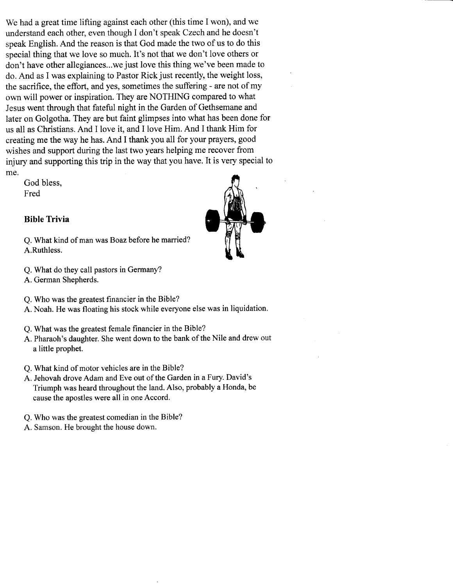We had a great time lifting against each other (this time I won), and we understand each other, even though I don't speak Czech and he doesn't speak English. And the reason is that God made the two of us to do this special thing that we love so much. It's not that we don't love others or don't have other allegiances...we just love this thing we've been made to do. And as I was explaining to Pastor Rick just recently, the weight loss, the sacrifice, the effort, and yes, sometimes the suffering - are not of my own will power or inspiration. They are NOTHING compared to what Jesus went through that fateful night in the Garden of Gethsemane and later on Golgotha. They are but faint glimpses into what has been done for us all as Christians. And I love it, and I love Him. And I thank Him for creating me the way he has. And I thank you all for your prayers, good wishes and support during the last two years helping me recover from injury and supporting this trip in the way that you have. It is very special to me.

God bless, Fred

## Bible Trivia



- Q. What kind of man was Boaz before he married? A.Ruthless.
- Q. What do they call pastors in Germany?
- A. German Shepherds.
- Q. Who was the greatest financier in the Bible?
- A. Noah. He was floating his stock while everyone else was in liquidation.
- Q. What was the greatest female financier in the Bible?
- A. Pharaoh's daughter. She went down to the bank of the Nile and drew out a little prophet.
- Q. What kind of motor vehicles are in the Bible?
- A. Jehovah drove Adam and Eve out of the Garden in a Fury. David's Triumph was heard throughout the land. Also, probably a Honda, be cause the apostles were all in one Accord.
- Q. Who was the greatest comedian in the Bible?
- A. Samson. He brought the house down.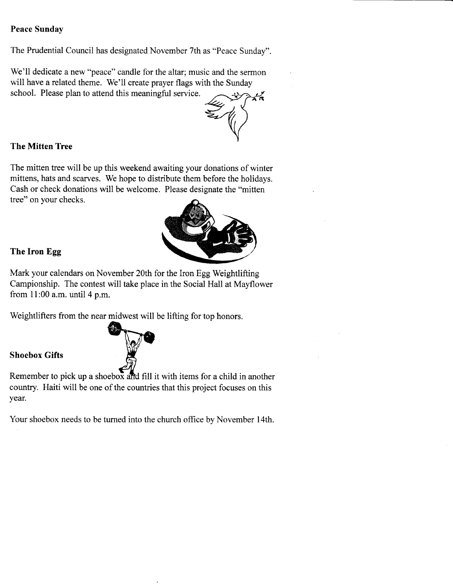## Peace Sunday

The Prudential Council has designated November 7th as "Peace Sunday".

We'll dedicate a new "peace" candle for the altar; music and the serrnon will have a related theme. We'll create prayer flags with the Sunday school. Please plan to attend this meaningful service.

## The Mitten Tree

The mitten tree will be up this weekend awaiting your donations of winter mittens, hats and scarves. We hope to distribute them before the holidays. Cash or check donations will be welcome. Please designate the "mitten tree" on your checks.



Mark your calendars on November 20th for the Iron Egg Weightlifting Campionship. The contest will take place in the Social Hall at Mayflower from 11:00 a.m. until 4 p.m.

Weightlifters from the near midwest will be lifting for top honors.

### Shoebox Gifts

Remember to pick up a shoebox and fill it with items for a child in another country. Haiti will be one of the countries that this project focuses on this yeat.

Your shoebox needs to be tumed into the church office by November l4th.



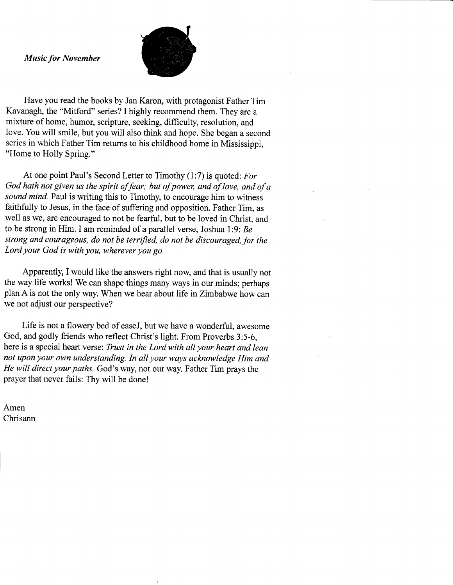#### **Music for November**



Have you read the books by Jan Karon, with protagonist Father Tim Kavanagh, the "Mitford" series? I highly recommend them. They are a mixture of home, humor, scripture, seeking, diffrculty, resolution, and love. You will smile, but you will also think and hope. She began a second series in which Father Tim returns to his childhood home in Mississippi, "Home to Holly Spring."

At one point Paul's Second Letter to Timothy (1:7) is quoted: For God hath not given us the spirit of fear; but of power, and of love, and of a sound mind. Paul is writing this to Timothy, to encourage him to witness faithfully to Jesus, in the face of suffering and opposition. Father Tim, as well as we, are encouraged to not be fearful, but to be loved in Christ, and to be strong in Him. I am reminded of a parallel verse, Joshua l:9: Be strong and courageous, do not be terrified, do not be discouraged, for the Lord your God is with you, wherever you go.

Apparently, I would like the answers right now, and that is usually not the way life works! We can shape things many ways in our minds; perhaps plan A is not the only way. When we hear about life in Zimbabwe how can we not adjust our perspective?

Life is not a flowery bed of easeJ, but we have a wonderful, awesome God, and godly friends who reflect Christ's light. From Proverbs 3:5-6, here is a special heart verse: Trust in the Lord with all your heart and lean not upon your own understanding. In all your ways acknowledge Him and He will direct your paths. God's way, not our way. Father Tim prays the prayer that never fails: Thy will be done!

Amen Chrisann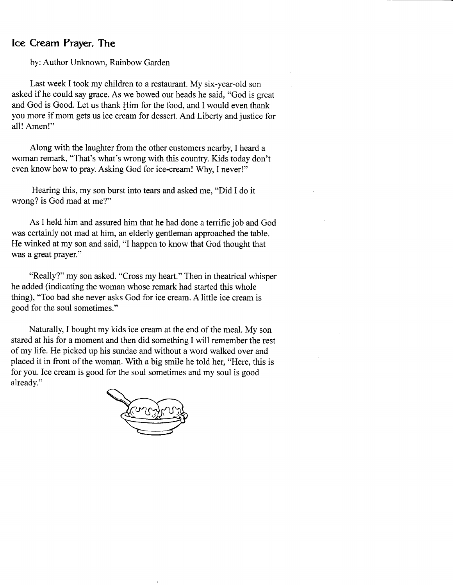## Ice Cream Prayer, The

by:Author Unknown, Rainbow Garden

Last week I took my children to a restaurant. My six-year-old son asked if he could say grace. As we bowed our heads he said, "God is great and God is Good. Let us thank Him for the food, and I would even thank you more if mom gets us ice cream for dessert. And Liberty and justice for all! Amen!"

Along with the laughter from the other customers nearby, I heard a woman remark, "That's what's wrong with this country. Kids today don't even know how to pray. Asking God for ice-cream! Why, I never!"

Hearing this, my son burst into tears and asked me, "Did I do it wrong? is God mad at me?"

As I held him and assured him that he had done a terrific job and God was certainly not mad at him, an elderly gentleman approached the table. He winked at my son and said, "I happen to know that God thought that was a great prayer."

"Really?" my son asked. "Cross my heart." Then in theatrical whisper he added (indicating the woman whose remark had started this whole thing), "Too bad she never asks God for ice cream. A little ice cream is good for the soul sometimes."

Naturally, I bought my kids ice cream at the end of the meal. My son stared at his for a moment and then did something I will remember the rest of my life. He picked up his sundae and without a word walked over and placed it in front of the woman. With a big smile he told her, "Here, this is for you. Ice cream is good for the soul sometimes and my soul is good already."